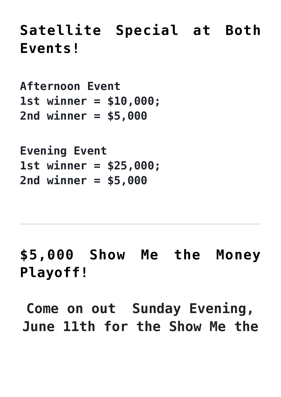## **[Satellite Special at Both](https://tophatbingo.ca/event/satellite-special-at-both-events/) [Events!](https://tophatbingo.ca/event/satellite-special-at-both-events/)**

**Afternoon Event 1st winner = \$10,000; 2nd winner = \$5,000**

**Evening Event 1st winner = \$25,000; 2nd winner = \$5,000**

**[\\$5,000 Show Me the Money](https://tophatbingo.ca/event/5000-show-me-the-money-playoff/) [Playoff!](https://tophatbingo.ca/event/5000-show-me-the-money-playoff/)**

**Come on out Sunday Evening, June 11th for the Show Me the**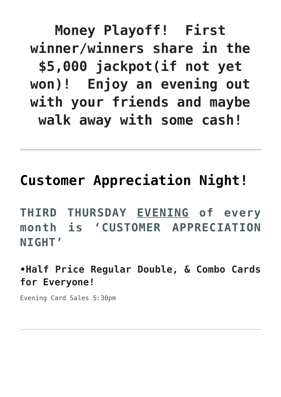**Money Playoff! First winner/winners share in the \$5,000 jackpot(if not yet won)! Enjoy an evening out with your friends and maybe walk away with some cash!**

## **[Customer Appreciation Night!](https://tophatbingo.ca/event/customer-appreciation-night/)**

**THIRD THURSDAY EVENING of every month is 'CUSTOMER APPRECIATION NIGHT'**

**•Half Price Regular Double, & Combo Cards for Everyone!**

Evening Card Sales 5:30pm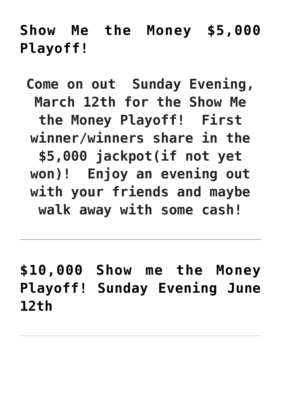**[Show Me the Money \\$5,000](https://tophatbingo.ca/event/show-me-the-money-5000-playoff-sunday-evening-march-12th/) [Playoff!](https://tophatbingo.ca/event/show-me-the-money-5000-playoff-sunday-evening-march-12th/)**

**Come on out Sunday Evening, March 12th for the Show Me the Money Playoff! First winner/winners share in the \$5,000 jackpot(if not yet won)! Enjoy an evening out with your friends and maybe walk away with some cash!**

**[\\$10,000 Show me the Money](https://tophatbingo.ca/event/10000-show-me-the-money-playoff-sunday-evening-june-12th/) [Playoff! Sunday Evening June](https://tophatbingo.ca/event/10000-show-me-the-money-playoff-sunday-evening-june-12th/) [12th](https://tophatbingo.ca/event/10000-show-me-the-money-playoff-sunday-evening-june-12th/)**